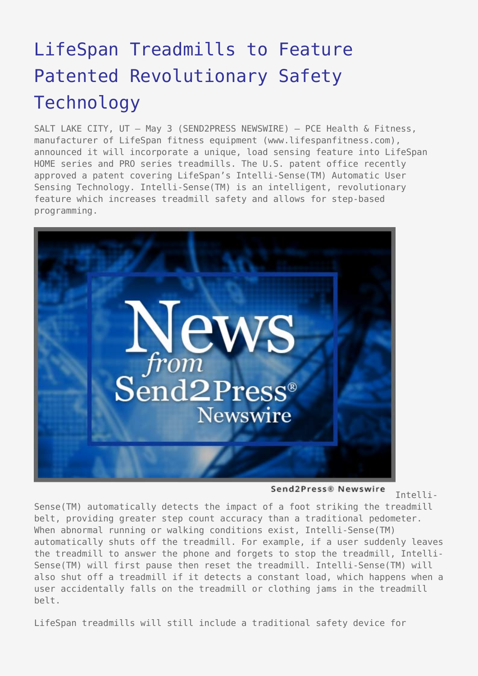## [LifeSpan Treadmills to Feature](https://www.send2press.com/wire/2006-05-0503-001/) [Patented Revolutionary Safety](https://www.send2press.com/wire/2006-05-0503-001/) [Technology](https://www.send2press.com/wire/2006-05-0503-001/)

SALT LAKE CITY, UT – May 3 (SEND2PRESS NEWSWIRE) — PCE Health & Fitness, manufacturer of LifeSpan fitness equipment (www.lifespanfitness.com), announced it will incorporate a unique, load sensing feature into LifeSpan HOME series and PRO series treadmills. The U.S. patent office recently approved a patent covering LifeSpan's Intelli-Sense(TM) Automatic User Sensing Technology. Intelli-Sense(TM) is an intelligent, revolutionary feature which increases treadmill safety and allows for step-based programming.



Send2Press® Newswire

Intelli-

Sense(TM) automatically detects the impact of a foot striking the treadmill belt, providing greater step count accuracy than a traditional pedometer. When abnormal running or walking conditions exist, Intelli-Sense(TM) automatically shuts off the treadmill. For example, if a user suddenly leaves the treadmill to answer the phone and forgets to stop the treadmill, Intelli-Sense(TM) will first pause then reset the treadmill. Intelli-Sense(TM) will also shut off a treadmill if it detects a constant load, which happens when a user accidentally falls on the treadmill or clothing jams in the treadmill belt.

LifeSpan treadmills will still include a traditional safety device for